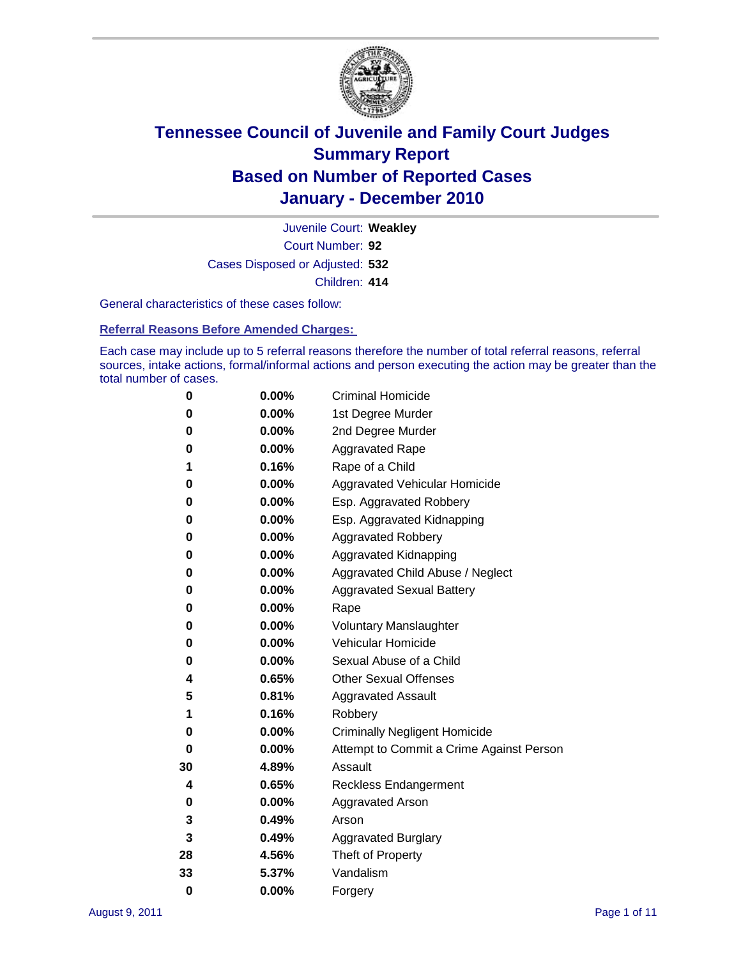

Court Number: **92** Juvenile Court: **Weakley** Cases Disposed or Adjusted: **532** Children: **414**

General characteristics of these cases follow:

**Referral Reasons Before Amended Charges:** 

Each case may include up to 5 referral reasons therefore the number of total referral reasons, referral sources, intake actions, formal/informal actions and person executing the action may be greater than the total number of cases.

| 0  | 0.00%    | <b>Criminal Homicide</b>                 |
|----|----------|------------------------------------------|
| 0  | 0.00%    | 1st Degree Murder                        |
| 0  | 0.00%    | 2nd Degree Murder                        |
| 0  | 0.00%    | <b>Aggravated Rape</b>                   |
| 1  | 0.16%    | Rape of a Child                          |
| 0  | 0.00%    | Aggravated Vehicular Homicide            |
| 0  | 0.00%    | Esp. Aggravated Robbery                  |
| 0  | 0.00%    | Esp. Aggravated Kidnapping               |
| 0  | 0.00%    | <b>Aggravated Robbery</b>                |
| 0  | 0.00%    | Aggravated Kidnapping                    |
| 0  | 0.00%    | Aggravated Child Abuse / Neglect         |
| 0  | $0.00\%$ | <b>Aggravated Sexual Battery</b>         |
| 0  | 0.00%    | Rape                                     |
| 0  | 0.00%    | <b>Voluntary Manslaughter</b>            |
| 0  | 0.00%    | Vehicular Homicide                       |
| 0  | 0.00%    | Sexual Abuse of a Child                  |
| 4  | 0.65%    | <b>Other Sexual Offenses</b>             |
| 5  | 0.81%    | <b>Aggravated Assault</b>                |
| 1  | 0.16%    | Robbery                                  |
| 0  | 0.00%    | <b>Criminally Negligent Homicide</b>     |
| 0  | 0.00%    | Attempt to Commit a Crime Against Person |
| 30 | 4.89%    | Assault                                  |
| 4  | 0.65%    | <b>Reckless Endangerment</b>             |
| 0  | 0.00%    | <b>Aggravated Arson</b>                  |
| 3  | 0.49%    | Arson                                    |
| 3  | 0.49%    | <b>Aggravated Burglary</b>               |
| 28 | 4.56%    | Theft of Property                        |
| 33 | 5.37%    | Vandalism                                |
| 0  | 0.00%    | Forgery                                  |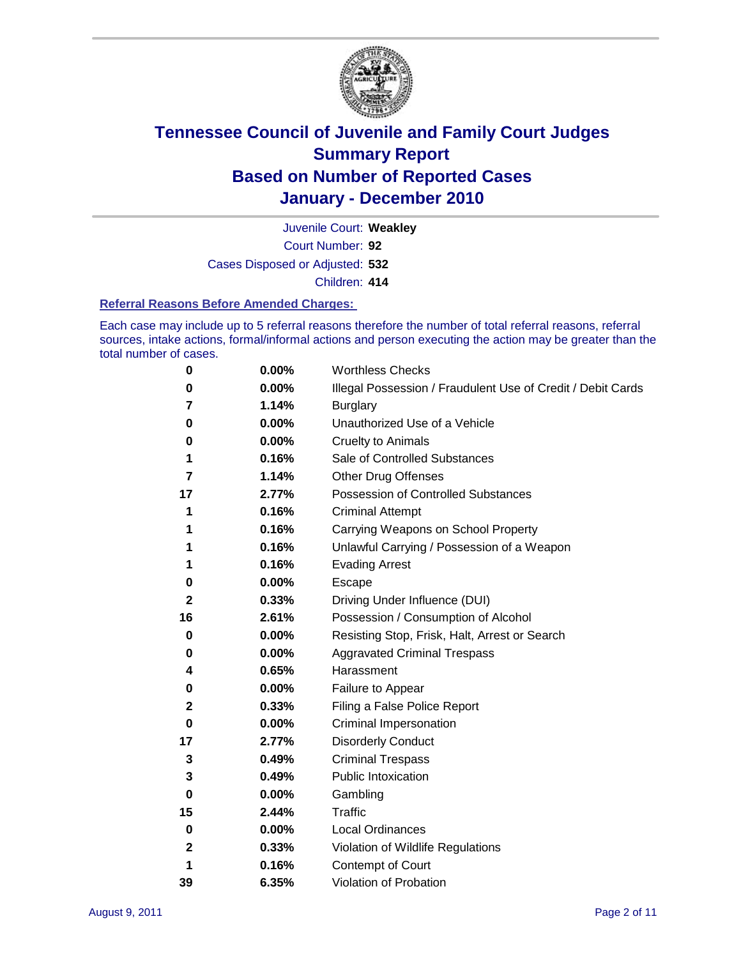

Court Number: **92** Juvenile Court: **Weakley**

Cases Disposed or Adjusted: **532**

Children: **414**

#### **Referral Reasons Before Amended Charges:**

Each case may include up to 5 referral reasons therefore the number of total referral reasons, referral sources, intake actions, formal/informal actions and person executing the action may be greater than the total number of cases.

| 0            | 0.00%    | <b>Worthless Checks</b>                                     |
|--------------|----------|-------------------------------------------------------------|
| 0            | 0.00%    | Illegal Possession / Fraudulent Use of Credit / Debit Cards |
| 7            | 1.14%    | <b>Burglary</b>                                             |
| 0            | 0.00%    | Unauthorized Use of a Vehicle                               |
| 0            | 0.00%    | <b>Cruelty to Animals</b>                                   |
| 1            | 0.16%    | Sale of Controlled Substances                               |
| 7            | 1.14%    | <b>Other Drug Offenses</b>                                  |
| 17           | 2.77%    | Possession of Controlled Substances                         |
| 1            | 0.16%    | <b>Criminal Attempt</b>                                     |
| 1            | 0.16%    | Carrying Weapons on School Property                         |
| 1            | 0.16%    | Unlawful Carrying / Possession of a Weapon                  |
| 1            | 0.16%    | <b>Evading Arrest</b>                                       |
| 0            | 0.00%    | Escape                                                      |
| 2            | 0.33%    | Driving Under Influence (DUI)                               |
| 16           | 2.61%    | Possession / Consumption of Alcohol                         |
| 0            | 0.00%    | Resisting Stop, Frisk, Halt, Arrest or Search               |
| 0            | 0.00%    | <b>Aggravated Criminal Trespass</b>                         |
| 4            | 0.65%    | Harassment                                                  |
| 0            | 0.00%    | Failure to Appear                                           |
| 2            | 0.33%    | Filing a False Police Report                                |
| 0            | 0.00%    | Criminal Impersonation                                      |
| 17           | 2.77%    | <b>Disorderly Conduct</b>                                   |
| 3            | 0.49%    | <b>Criminal Trespass</b>                                    |
| 3            | 0.49%    | Public Intoxication                                         |
| 0            | 0.00%    | Gambling                                                    |
| 15           | 2.44%    | Traffic                                                     |
| 0            | $0.00\%$ | <b>Local Ordinances</b>                                     |
| $\mathbf{2}$ | 0.33%    | Violation of Wildlife Regulations                           |
| 1            | 0.16%    | Contempt of Court                                           |
| 39           | 6.35%    | Violation of Probation                                      |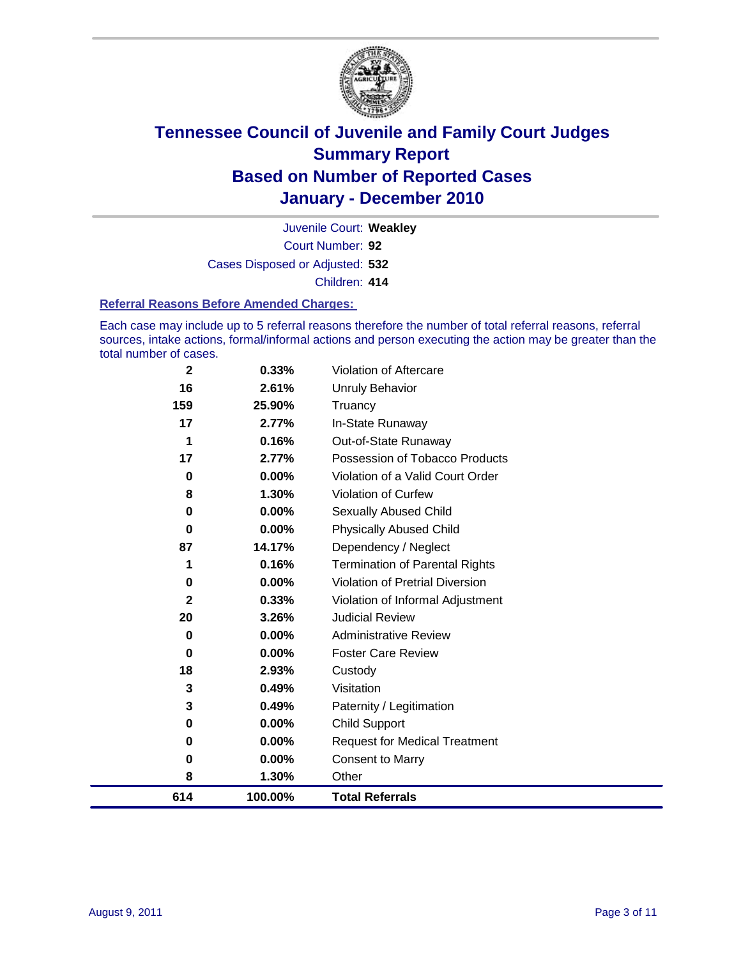

Court Number: **92** Juvenile Court: **Weakley** Cases Disposed or Adjusted: **532** Children: **414**

#### **Referral Reasons Before Amended Charges:**

Each case may include up to 5 referral reasons therefore the number of total referral reasons, referral sources, intake actions, formal/informal actions and person executing the action may be greater than the total number of cases.

| 614          | 100.00%  | <b>Total Referrals</b>                 |
|--------------|----------|----------------------------------------|
| 8            | 1.30%    | Other                                  |
| 0            | 0.00%    | <b>Consent to Marry</b>                |
| 0            | 0.00%    | <b>Request for Medical Treatment</b>   |
| $\bf{0}$     | 0.00%    | <b>Child Support</b>                   |
| 3            | 0.49%    | Paternity / Legitimation               |
| 3            | 0.49%    | Visitation                             |
| 18           | 2.93%    | Custody                                |
| 0            | $0.00\%$ | <b>Foster Care Review</b>              |
| 0            | $0.00\%$ | <b>Administrative Review</b>           |
| 20           | 3.26%    | <b>Judicial Review</b>                 |
| $\mathbf{2}$ | 0.33%    | Violation of Informal Adjustment       |
| $\bf{0}$     | $0.00\%$ | <b>Violation of Pretrial Diversion</b> |
|              | 0.16%    | <b>Termination of Parental Rights</b>  |
| 87           | 14.17%   | Dependency / Neglect                   |
| $\bf{0}$     | 0.00%    | <b>Physically Abused Child</b>         |
| $\bf{0}$     | 0.00%    | <b>Sexually Abused Child</b>           |
| 8            | 1.30%    | Violation of Curfew                    |
| $\bf{0}$     | $0.00\%$ | Violation of a Valid Court Order       |
| 17           | 2.77%    | Possession of Tobacco Products         |
| 1            | 0.16%    | Out-of-State Runaway                   |
| 17           | 2.77%    | In-State Runaway                       |
| 159          | 25.90%   | Truancy                                |
| 16           | 2.61%    | <b>Unruly Behavior</b>                 |
| $\mathbf{2}$ | 0.33%    | <b>Violation of Aftercare</b>          |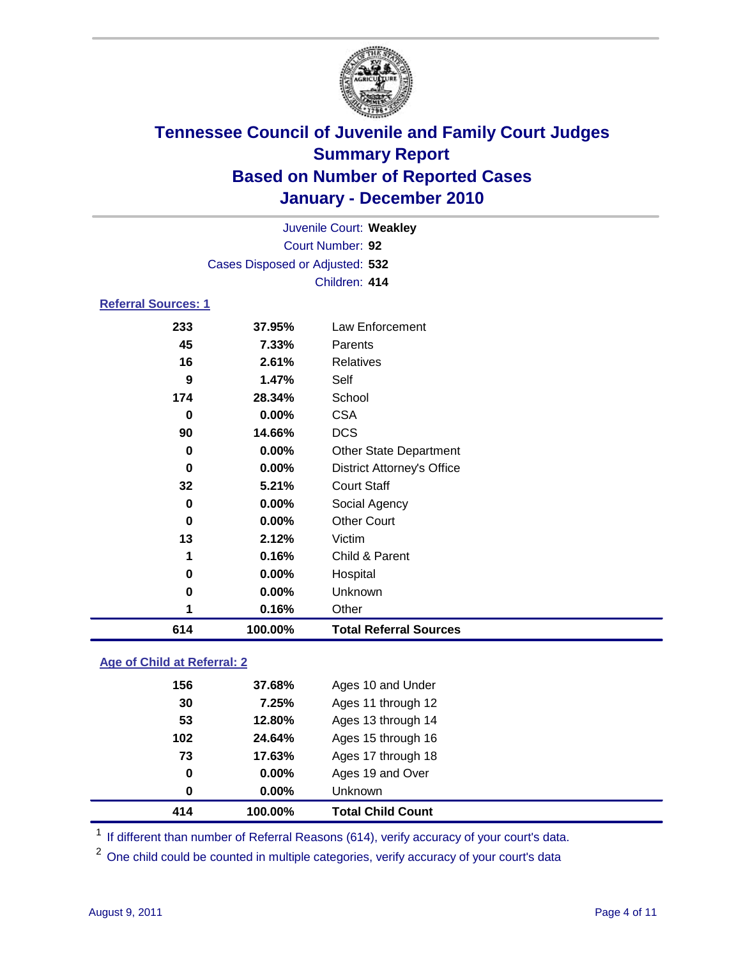

|                            |                                 | Juvenile Court: Weakley           |
|----------------------------|---------------------------------|-----------------------------------|
|                            |                                 | Court Number: 92                  |
|                            | Cases Disposed or Adjusted: 532 |                                   |
|                            |                                 | Children: 414                     |
| <b>Referral Sources: 1</b> |                                 |                                   |
| 233                        | 37.95%                          | <b>Law Enforcement</b>            |
| 45                         | 7.33%                           | Parents                           |
| 16                         | 2.61%                           | <b>Relatives</b>                  |
| 9                          | 1.47%                           | Self                              |
| 174                        | 28.34%                          | School                            |
| 0                          | $0.00\%$                        | <b>CSA</b>                        |
| 90                         | 14.66%                          | <b>DCS</b>                        |
| 0                          | 0.00%                           | <b>Other State Department</b>     |
| 0                          | 0.00%                           | <b>District Attorney's Office</b> |
| 32                         | 5.21%                           | <b>Court Staff</b>                |
| 0                          | 0.00%                           | Social Agency                     |
| 0                          | 0.00%                           | <b>Other Court</b>                |
| 13                         | 2.12%                           | Victim                            |
| 1                          | 0.16%                           | Child & Parent                    |
| 0                          | 0.00%                           | Hospital                          |
| $\bf{0}$                   | 0.00%                           | Unknown                           |
| 1                          | 0.16%                           | Other                             |
| 614                        | 100.00%                         | <b>Total Referral Sources</b>     |

### **Age of Child at Referral: 2**

| 414 | 100.00%  | <b>Total Child Count</b> |
|-----|----------|--------------------------|
| 0   | $0.00\%$ | <b>Unknown</b>           |
| 0   | 0.00%    | Ages 19 and Over         |
| 73  | 17.63%   | Ages 17 through 18       |
| 102 | 24.64%   | Ages 15 through 16       |
| 53  | 12.80%   | Ages 13 through 14       |
| 30  | 7.25%    | Ages 11 through 12       |
| 156 | 37.68%   | Ages 10 and Under        |
|     |          |                          |

<sup>1</sup> If different than number of Referral Reasons (614), verify accuracy of your court's data.

<sup>2</sup> One child could be counted in multiple categories, verify accuracy of your court's data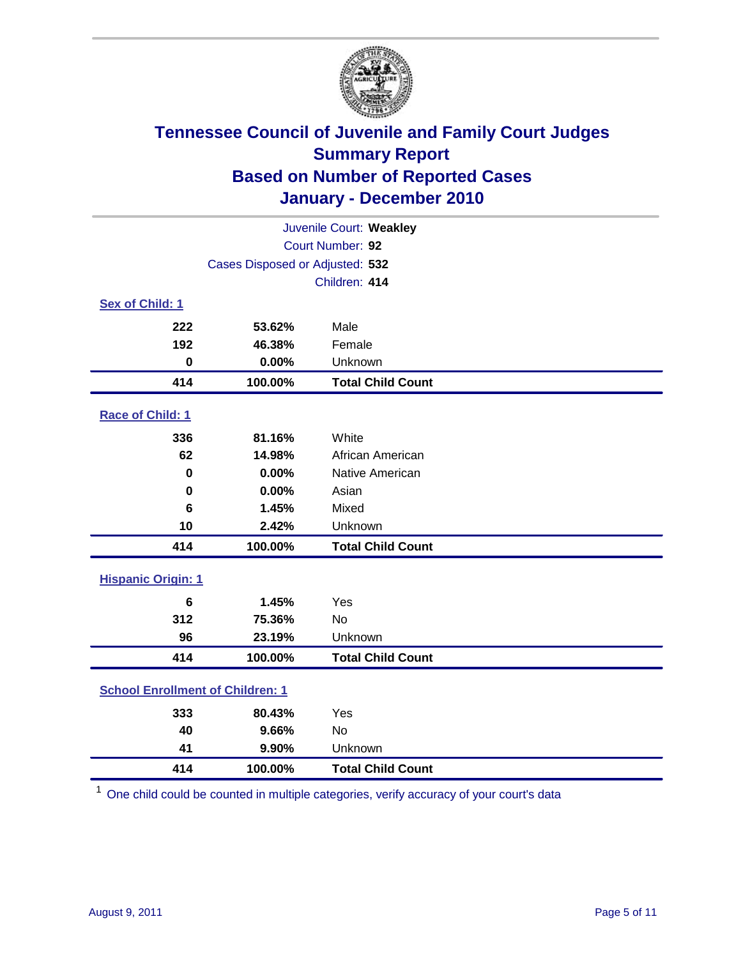

| Juvenile Court: Weakley                 |                                 |                          |  |  |
|-----------------------------------------|---------------------------------|--------------------------|--|--|
| Court Number: 92                        |                                 |                          |  |  |
|                                         | Cases Disposed or Adjusted: 532 |                          |  |  |
|                                         |                                 | Children: 414            |  |  |
| Sex of Child: 1                         |                                 |                          |  |  |
| 222                                     | 53.62%                          | Male                     |  |  |
| 192                                     | 46.38%                          | Female                   |  |  |
| $\mathbf 0$                             | 0.00%                           | Unknown                  |  |  |
| 414                                     | 100.00%                         | <b>Total Child Count</b> |  |  |
| Race of Child: 1                        |                                 |                          |  |  |
| 336                                     | 81.16%                          | White                    |  |  |
| 62                                      | 14.98%                          | African American         |  |  |
| $\mathbf 0$                             | 0.00%                           | Native American          |  |  |
| $\mathbf 0$                             | 0.00%                           | Asian                    |  |  |
| $6\phantom{1}$                          | 1.45%                           | Mixed                    |  |  |
| 10                                      | 2.42%                           | Unknown                  |  |  |
| 414                                     | 100.00%                         | <b>Total Child Count</b> |  |  |
| <b>Hispanic Origin: 1</b>               |                                 |                          |  |  |
| 6                                       | 1.45%                           | Yes                      |  |  |
| 312                                     | 75.36%                          | No                       |  |  |
| 96                                      | 23.19%                          | Unknown                  |  |  |
| 414                                     | 100.00%                         | <b>Total Child Count</b> |  |  |
| <b>School Enrollment of Children: 1</b> |                                 |                          |  |  |
| 333                                     | 80.43%                          | Yes                      |  |  |
| 40                                      | 9.66%                           | No                       |  |  |
| 41                                      | 9.90%                           | Unknown                  |  |  |
| 414                                     | 100.00%                         | <b>Total Child Count</b> |  |  |

One child could be counted in multiple categories, verify accuracy of your court's data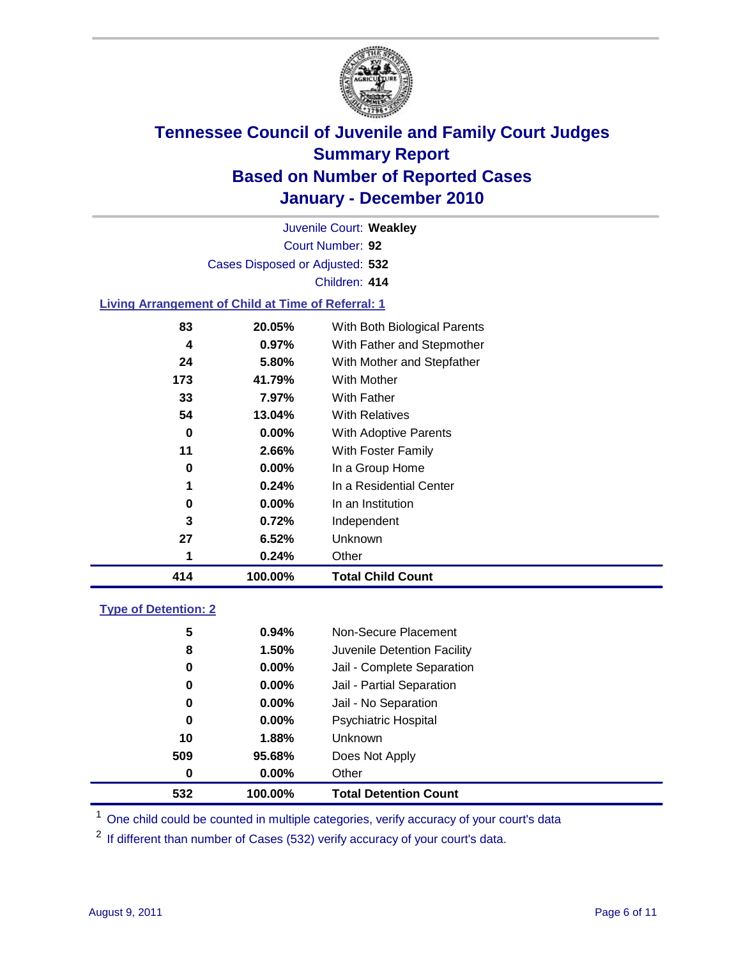

Court Number: **92** Juvenile Court: **Weakley** Cases Disposed or Adjusted: **532** Children: **414 Living Arrangement of Child at Time of Referral: 1**

| 414 | 100.00%  | <b>Total Child Count</b>     |
|-----|----------|------------------------------|
| 1   | 0.24%    | Other                        |
| 27  | 6.52%    | <b>Unknown</b>               |
| 3   | 0.72%    | Independent                  |
| 0   | $0.00\%$ | In an Institution            |
| 1   | 0.24%    | In a Residential Center      |
| 0   | $0.00\%$ | In a Group Home              |
| 11  | 2.66%    | With Foster Family           |
| 0   | $0.00\%$ | With Adoptive Parents        |
| 54  | 13.04%   | <b>With Relatives</b>        |
| 33  | 7.97%    | <b>With Father</b>           |
| 173 | 41.79%   | With Mother                  |
| 24  | 5.80%    | With Mother and Stepfather   |
| 4   | $0.97\%$ | With Father and Stepmother   |
| 83  | 20.05%   | With Both Biological Parents |
|     |          |                              |

### **Type of Detention: 2**

| 532 | 100.00%  | <b>Total Detention Count</b> |  |
|-----|----------|------------------------------|--|
| 0   | $0.00\%$ | Other                        |  |
| 509 | 95.68%   | Does Not Apply               |  |
| 10  | 1.88%    | Unknown                      |  |
| 0   | 0.00%    | <b>Psychiatric Hospital</b>  |  |
| 0   | 0.00%    | Jail - No Separation         |  |
| 0   | $0.00\%$ | Jail - Partial Separation    |  |
| 0   | $0.00\%$ | Jail - Complete Separation   |  |
| 8   | 1.50%    | Juvenile Detention Facility  |  |
| 5   | 0.94%    | Non-Secure Placement         |  |
|     |          |                              |  |

<sup>1</sup> One child could be counted in multiple categories, verify accuracy of your court's data

<sup>2</sup> If different than number of Cases (532) verify accuracy of your court's data.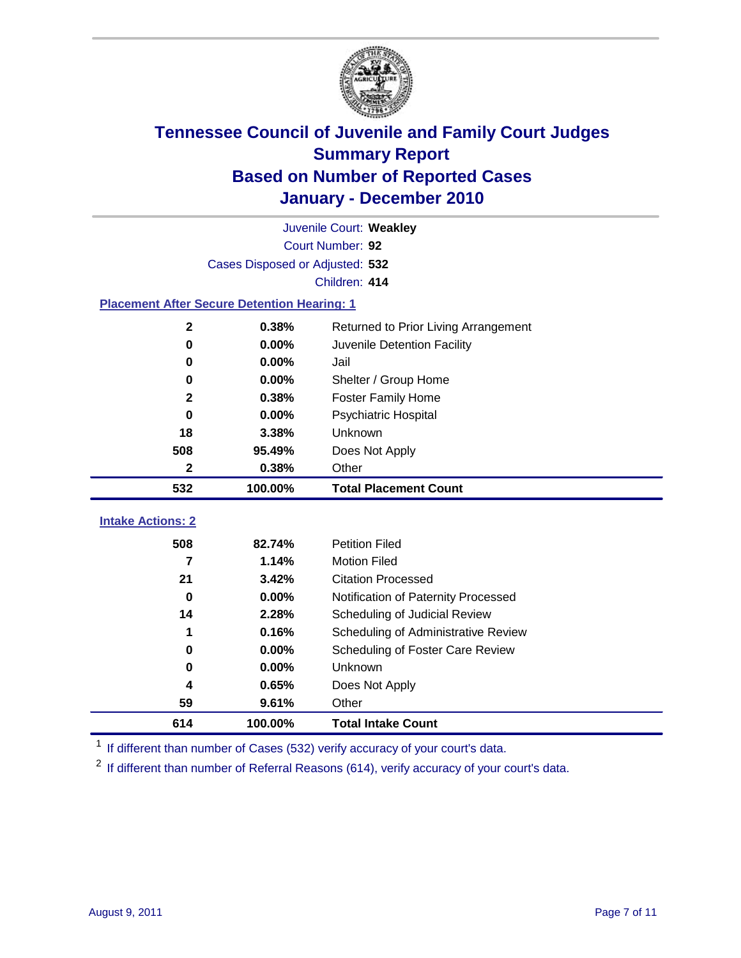

|                                                    | Juvenile Court: Weakley         |                                      |  |  |
|----------------------------------------------------|---------------------------------|--------------------------------------|--|--|
|                                                    | Court Number: 92                |                                      |  |  |
|                                                    | Cases Disposed or Adjusted: 532 |                                      |  |  |
|                                                    |                                 | Children: 414                        |  |  |
| <b>Placement After Secure Detention Hearing: 1</b> |                                 |                                      |  |  |
| $\mathbf 2$                                        | 0.38%                           | Returned to Prior Living Arrangement |  |  |
| $\bf{0}$                                           | 0.00%                           | Juvenile Detention Facility          |  |  |
| 0                                                  | 0.00%                           | Jail                                 |  |  |
| $\bf{0}$                                           | 0.00%                           | Shelter / Group Home                 |  |  |
| $\mathbf{2}$                                       | 0.38%                           | <b>Foster Family Home</b>            |  |  |
| $\bf{0}$                                           | 0.00%                           | Psychiatric Hospital                 |  |  |
| 18                                                 | 3.38%                           | Unknown                              |  |  |
| 508                                                | 95.49%                          | Does Not Apply                       |  |  |
| $\mathbf{2}$                                       | 0.38%                           | Other                                |  |  |
| 532                                                | 100.00%                         | <b>Total Placement Count</b>         |  |  |
| <b>Intake Actions: 2</b>                           |                                 |                                      |  |  |
|                                                    | 82.74%                          | <b>Petition Filed</b>                |  |  |
| 508<br>7                                           | 1.14%                           | <b>Motion Filed</b>                  |  |  |
| 21                                                 | 3.42%                           | <b>Citation Processed</b>            |  |  |
| $\bf{0}$                                           | 0.00%                           |                                      |  |  |
| 14                                                 | 2.28%                           | Notification of Paternity Processed  |  |  |
| 1                                                  | 0.16%                           | Scheduling of Judicial Review        |  |  |
|                                                    |                                 | Scheduling of Administrative Review  |  |  |
| 0<br>$\bf{0}$                                      | 0.00%<br>0.00%                  | Scheduling of Foster Care Review     |  |  |
|                                                    | 0.65%                           | Unknown                              |  |  |
| 4                                                  |                                 | Does Not Apply                       |  |  |
| 59                                                 | 9.61%                           | Other                                |  |  |
| 614                                                | 100.00%                         | <b>Total Intake Count</b>            |  |  |

<sup>1</sup> If different than number of Cases (532) verify accuracy of your court's data.

<sup>2</sup> If different than number of Referral Reasons (614), verify accuracy of your court's data.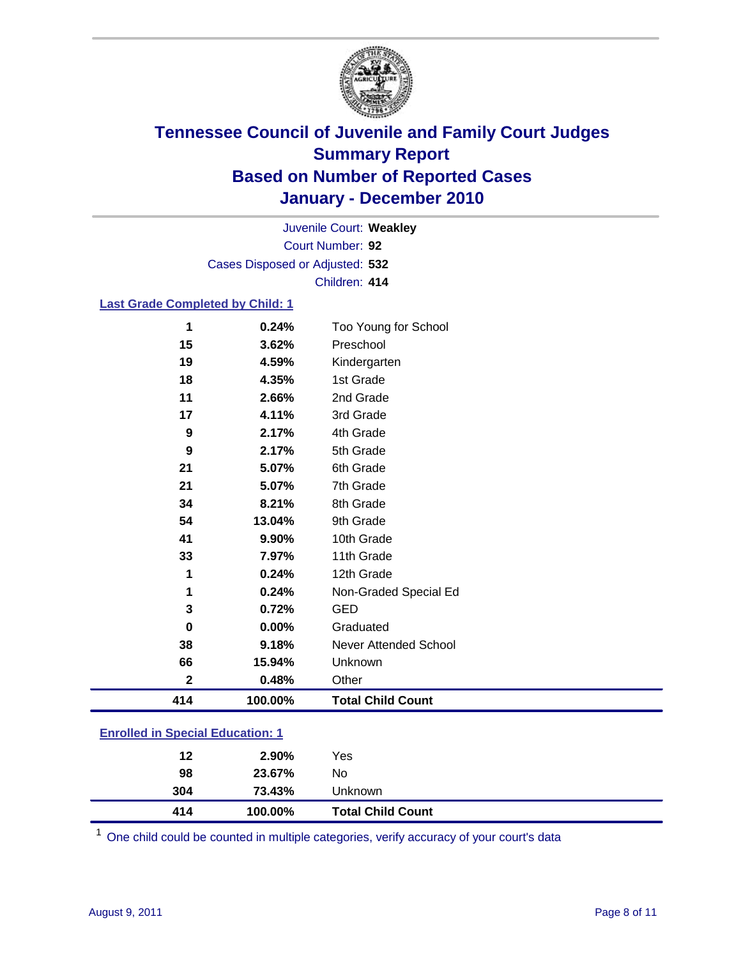

Court Number: **92** Juvenile Court: **Weakley** Cases Disposed or Adjusted: **532** Children: **414**

#### **Last Grade Completed by Child: 1**

| 414                     | 100.00% | <b>Total Child Count</b> |  |
|-------------------------|---------|--------------------------|--|
| $\overline{\mathbf{2}}$ | 0.48%   | Other                    |  |
| 66                      | 15.94%  | Unknown                  |  |
| 38                      | 9.18%   | Never Attended School    |  |
| 0                       | 0.00%   | Graduated                |  |
| 3                       | 0.72%   | <b>GED</b>               |  |
| 1                       | 0.24%   | Non-Graded Special Ed    |  |
| 1                       | 0.24%   | 12th Grade               |  |
| 33                      | 7.97%   | 11th Grade               |  |
| 41                      | 9.90%   | 10th Grade               |  |
| 54                      | 13.04%  | 9th Grade                |  |
| 34                      | 8.21%   | 8th Grade                |  |
| 21                      | 5.07%   | 7th Grade                |  |
| 21                      | 5.07%   | 6th Grade                |  |
| 9                       | 2.17%   | 5th Grade                |  |
| 9                       | 2.17%   | 4th Grade                |  |
| 17                      | 4.11%   | 3rd Grade                |  |
| 11                      | 2.66%   | 2nd Grade                |  |
| 18                      | 4.35%   | 1st Grade                |  |
| 19                      | 4.59%   | Kindergarten             |  |
| 15                      | 3.62%   | Preschool                |  |
| 1                       | 0.24%   | Too Young for School     |  |

### **Enrolled in Special Education: 1**

| 414 | 100.00% | <b>Total Child Count</b> |  |
|-----|---------|--------------------------|--|
| 304 | 73.43%  | Unknown                  |  |
| 98  | 23.67%  | No                       |  |
| 12  | 2.90%   | Yes                      |  |
|     |         |                          |  |

One child could be counted in multiple categories, verify accuracy of your court's data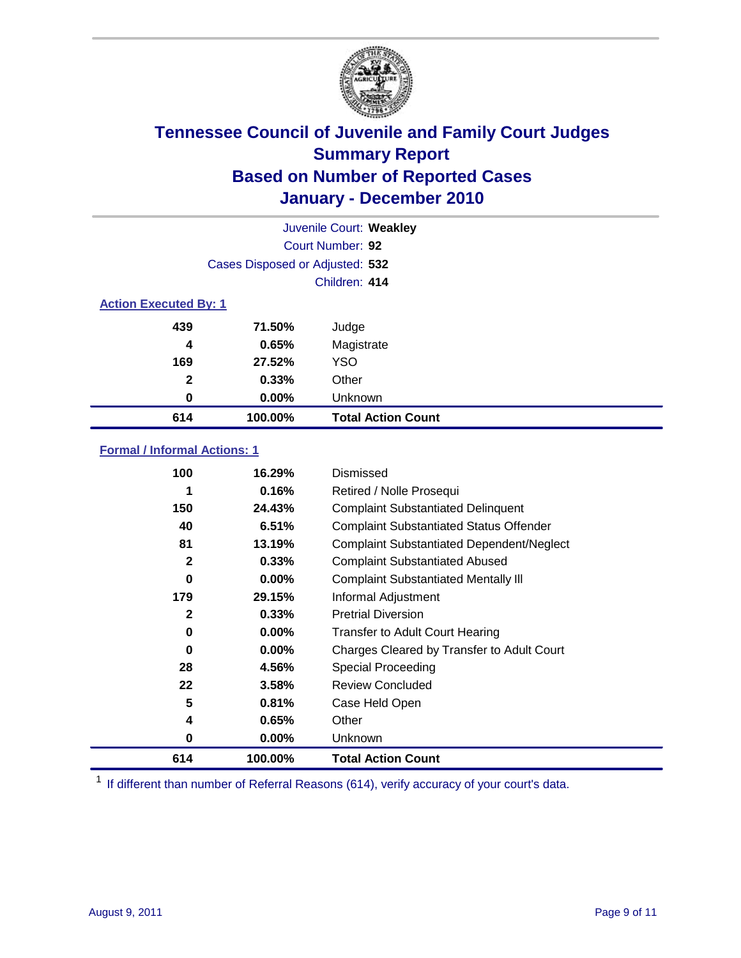

|                              | Juvenile Court: Weakley         |                           |  |  |
|------------------------------|---------------------------------|---------------------------|--|--|
|                              | Court Number: 92                |                           |  |  |
|                              | Cases Disposed or Adjusted: 532 |                           |  |  |
|                              |                                 | Children: 414             |  |  |
| <b>Action Executed By: 1</b> |                                 |                           |  |  |
| 439                          | 71.50%                          | Judge                     |  |  |
| 4                            | 0.65%                           | Magistrate                |  |  |
| 169                          | 27.52%                          | YSO                       |  |  |
| $\mathbf{2}$                 | 0.33%                           | Other                     |  |  |
| 0                            | $0.00\%$                        | Unknown                   |  |  |
| 614                          | 100.00%                         | <b>Total Action Count</b> |  |  |

### **Formal / Informal Actions: 1**

| 100          | 16.29%   | Dismissed                                        |
|--------------|----------|--------------------------------------------------|
|              | 0.16%    | Retired / Nolle Prosequi                         |
| 150          | 24.43%   | <b>Complaint Substantiated Delinquent</b>        |
| 40           | 6.51%    | <b>Complaint Substantiated Status Offender</b>   |
| 81           | 13.19%   | <b>Complaint Substantiated Dependent/Neglect</b> |
| $\mathbf{2}$ | 0.33%    | <b>Complaint Substantiated Abused</b>            |
| 0            | $0.00\%$ | <b>Complaint Substantiated Mentally III</b>      |
| 179          | 29.15%   | Informal Adjustment                              |
| 2            | 0.33%    | <b>Pretrial Diversion</b>                        |
| 0            | $0.00\%$ | <b>Transfer to Adult Court Hearing</b>           |
| 0            | 0.00%    | Charges Cleared by Transfer to Adult Court       |
| 28           | 4.56%    | Special Proceeding                               |
| 22           | 3.58%    | <b>Review Concluded</b>                          |
| 5            | 0.81%    | Case Held Open                                   |
| 4            | 0.65%    | Other                                            |
| 0            | $0.00\%$ | <b>Unknown</b>                                   |
| 614          | 100.00%  | <b>Total Action Count</b>                        |

<sup>1</sup> If different than number of Referral Reasons (614), verify accuracy of your court's data.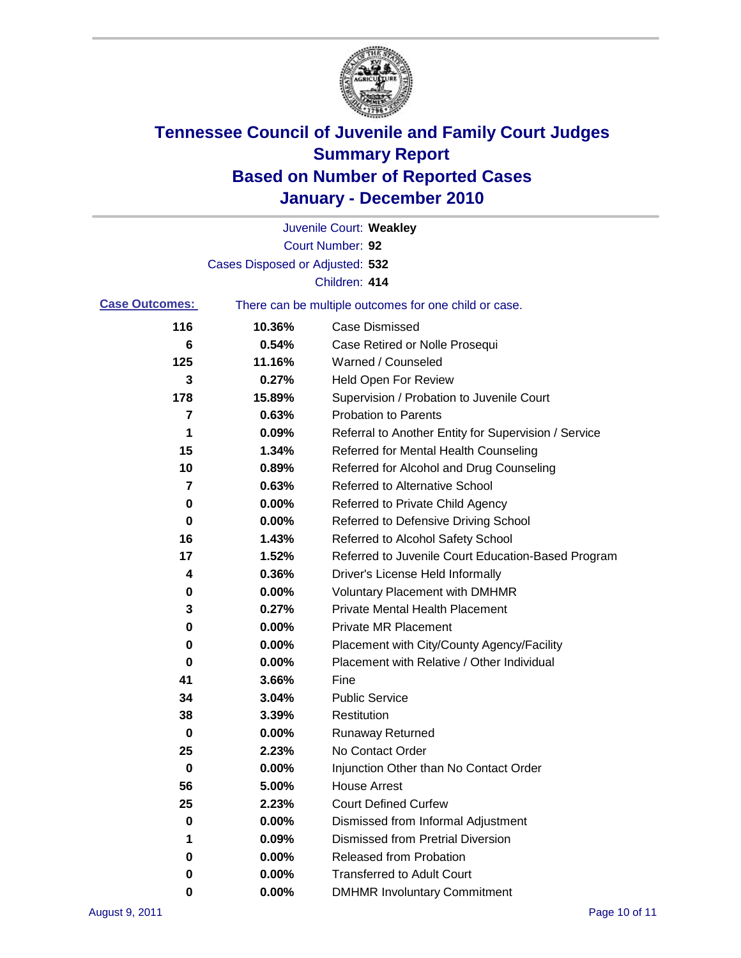

|                       |                                 | Juvenile Court: Weakley                               |
|-----------------------|---------------------------------|-------------------------------------------------------|
|                       |                                 | Court Number: 92                                      |
|                       | Cases Disposed or Adjusted: 532 |                                                       |
|                       |                                 | Children: 414                                         |
| <b>Case Outcomes:</b> |                                 | There can be multiple outcomes for one child or case. |
| 116                   | 10.36%                          | <b>Case Dismissed</b>                                 |
| 6                     | 0.54%                           | Case Retired or Nolle Prosequi                        |
| 125                   | 11.16%                          | Warned / Counseled                                    |
| 3                     | 0.27%                           | Held Open For Review                                  |
| 178                   | 15.89%                          | Supervision / Probation to Juvenile Court             |
| 7                     | 0.63%                           | <b>Probation to Parents</b>                           |
| 1                     | 0.09%                           | Referral to Another Entity for Supervision / Service  |
| 15                    | 1.34%                           | Referred for Mental Health Counseling                 |
| 10                    | 0.89%                           | Referred for Alcohol and Drug Counseling              |
| 7                     | 0.63%                           | <b>Referred to Alternative School</b>                 |
| 0                     | 0.00%                           | Referred to Private Child Agency                      |
| 0                     | 0.00%                           | Referred to Defensive Driving School                  |
| 16                    | 1.43%                           | Referred to Alcohol Safety School                     |
| 17                    | 1.52%                           | Referred to Juvenile Court Education-Based Program    |
| 4                     | 0.36%                           | Driver's License Held Informally                      |
| 0                     | 0.00%                           | <b>Voluntary Placement with DMHMR</b>                 |
| 3                     | 0.27%                           | <b>Private Mental Health Placement</b>                |
| 0                     | 0.00%                           | <b>Private MR Placement</b>                           |
| 0                     | 0.00%                           | Placement with City/County Agency/Facility            |
| 0                     | 0.00%                           | Placement with Relative / Other Individual            |
| 41                    | 3.66%                           | Fine                                                  |
| 34                    | 3.04%                           | <b>Public Service</b>                                 |
| 38                    | 3.39%                           | Restitution                                           |
| 0                     | 0.00%                           | <b>Runaway Returned</b>                               |
| 25                    | 2.23%                           | No Contact Order                                      |
| $\bf{0}$              | 0.00%                           | Injunction Other than No Contact Order                |
| 56                    | 5.00%                           | <b>House Arrest</b>                                   |
| 25                    | 2.23%                           | <b>Court Defined Curfew</b>                           |
| 0                     | 0.00%                           | Dismissed from Informal Adjustment                    |
| 1                     | 0.09%                           | <b>Dismissed from Pretrial Diversion</b>              |
| 0                     | 0.00%                           | Released from Probation                               |
| 0                     | 0.00%                           | <b>Transferred to Adult Court</b>                     |
| 0                     | 0.00%                           | <b>DMHMR Involuntary Commitment</b>                   |